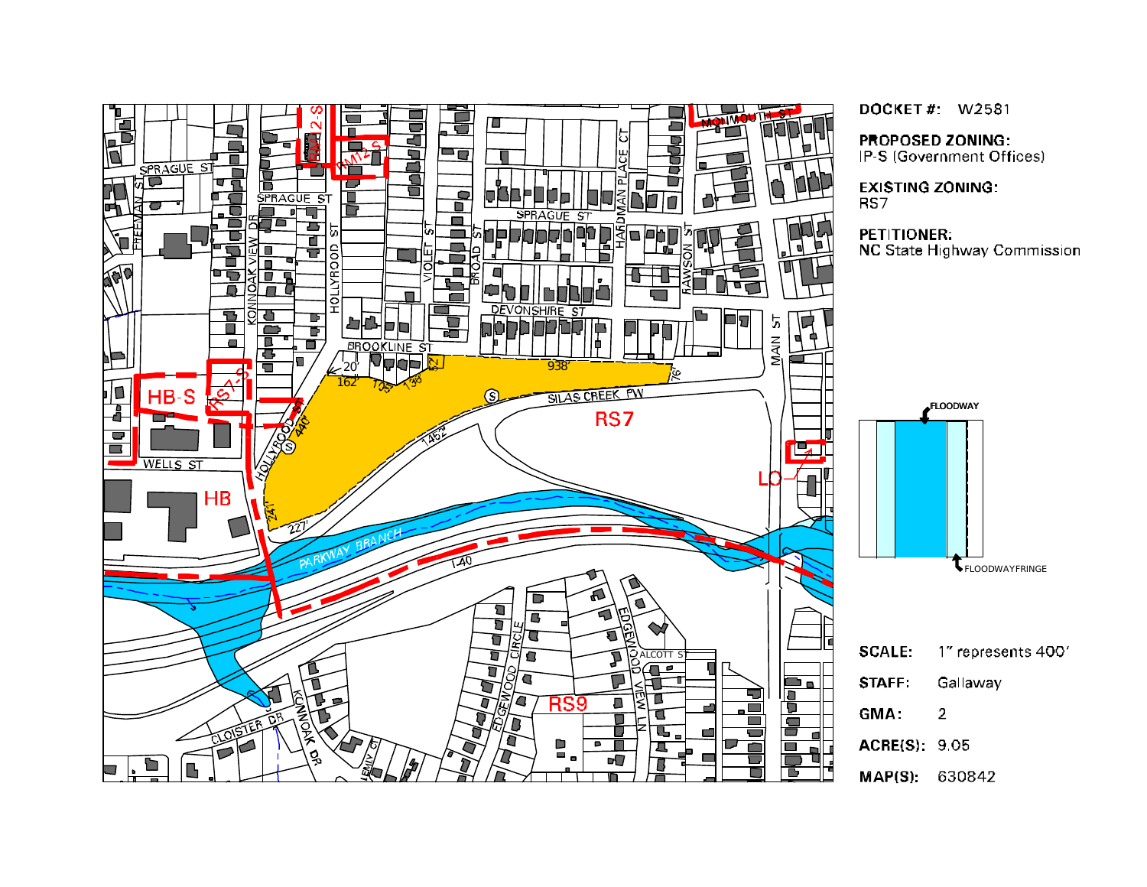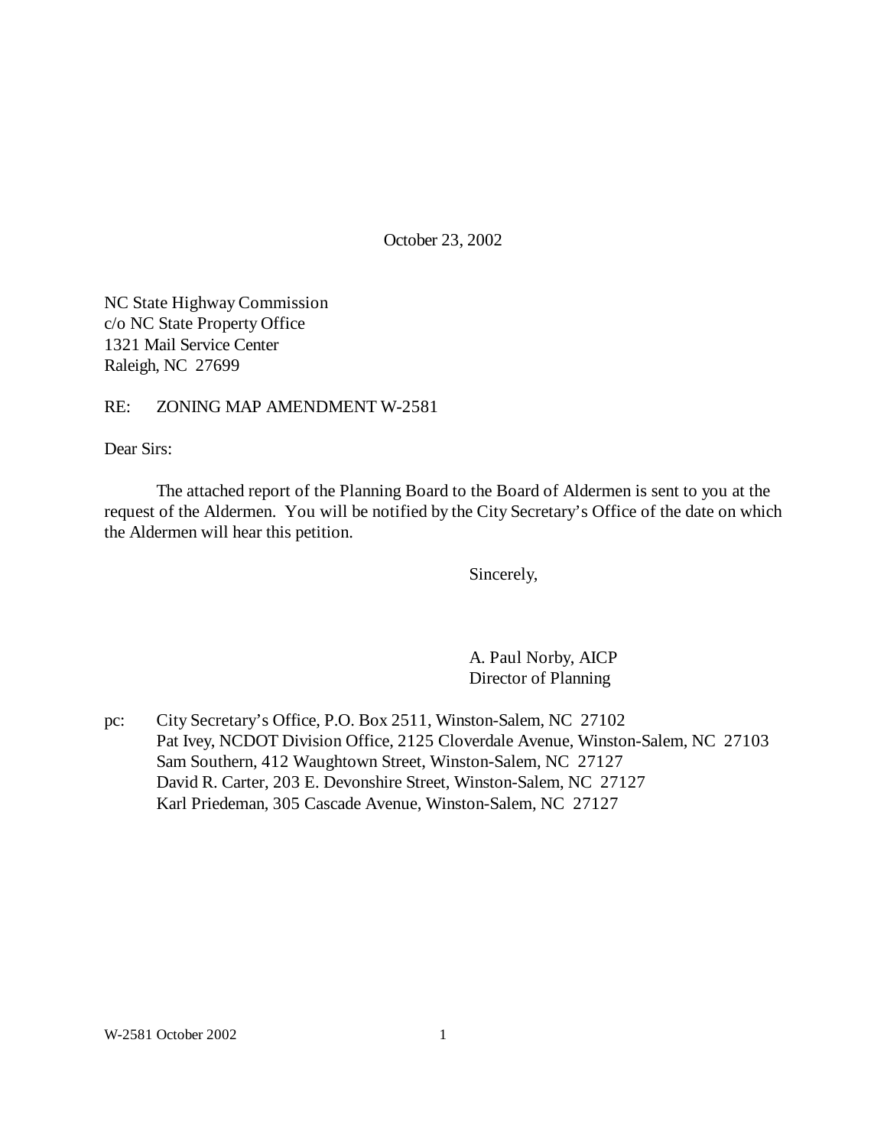October 23, 2002

NC State Highway Commission c/o NC State Property Office 1321 Mail Service Center Raleigh, NC 27699

RE: ZONING MAP AMENDMENT W-2581

Dear Sirs:

The attached report of the Planning Board to the Board of Aldermen is sent to you at the request of the Aldermen. You will be notified by the City Secretary's Office of the date on which the Aldermen will hear this petition.

Sincerely,

A. Paul Norby, AICP Director of Planning

pc: City Secretary's Office, P.O. Box 2511, Winston-Salem, NC 27102 Pat Ivey, NCDOT Division Office, 2125 Cloverdale Avenue, Winston-Salem, NC 27103 Sam Southern, 412 Waughtown Street, Winston-Salem, NC 27127 David R. Carter, 203 E. Devonshire Street, Winston-Salem, NC 27127 Karl Priedeman, 305 Cascade Avenue, Winston-Salem, NC 27127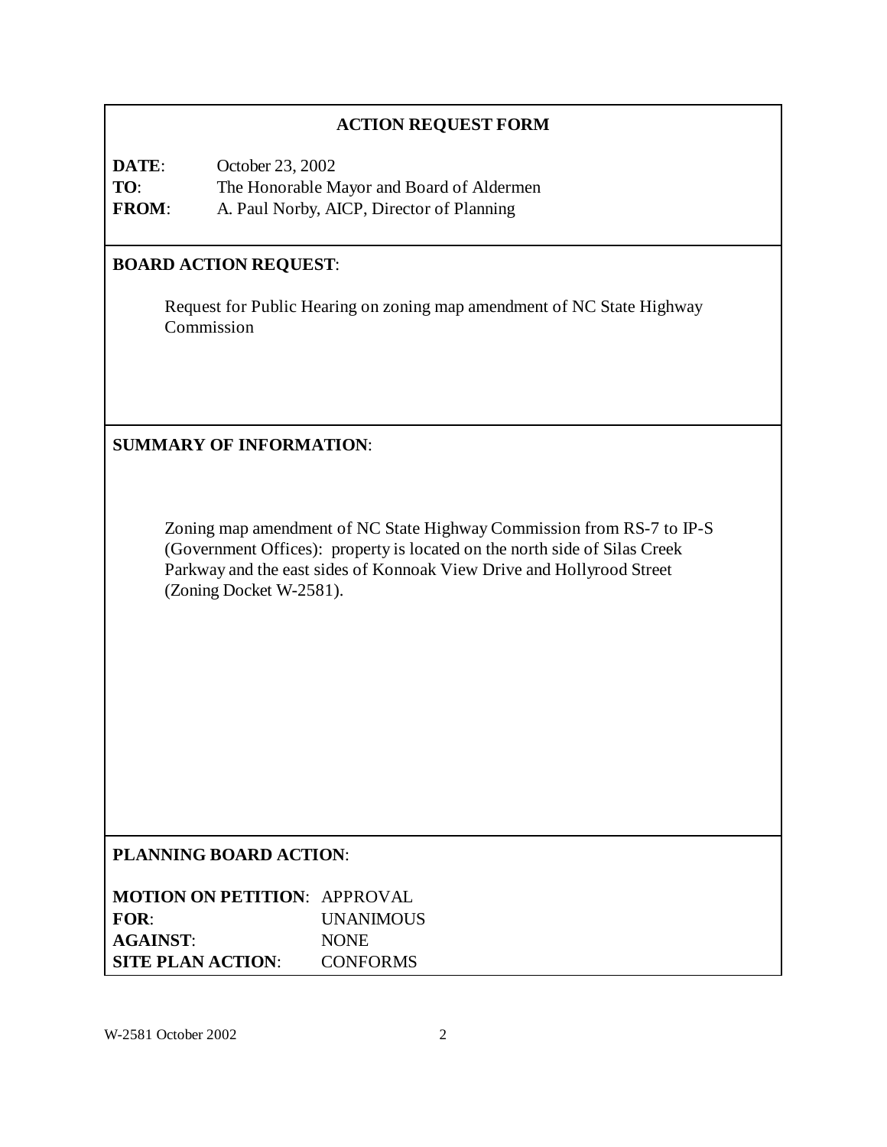## **ACTION REQUEST FORM**

**DATE**: October 23, 2002 **TO**: The Honorable Mayor and Board of Aldermen **FROM**: A. Paul Norby, AICP, Director of Planning

### **BOARD ACTION REQUEST**:

Request for Public Hearing on zoning map amendment of NC State Highway Commission

**SUMMARY OF INFORMATION**:

Zoning map amendment of NC State Highway Commission from RS-7 to IP-S (Government Offices): property is located on the north side of Silas Creek Parkway and the east sides of Konnoak View Drive and Hollyrood Street (Zoning Docket W-2581).

## **PLANNING BOARD ACTION**:

| <b>MOTION ON PETITION: APPROVAL</b> |                  |
|-------------------------------------|------------------|
| FOR:                                | <b>UNANIMOUS</b> |
| <b>AGAINST:</b>                     | <b>NONE</b>      |
| <b>SITE PLAN ACTION:</b>            | <b>CONFORMS</b>  |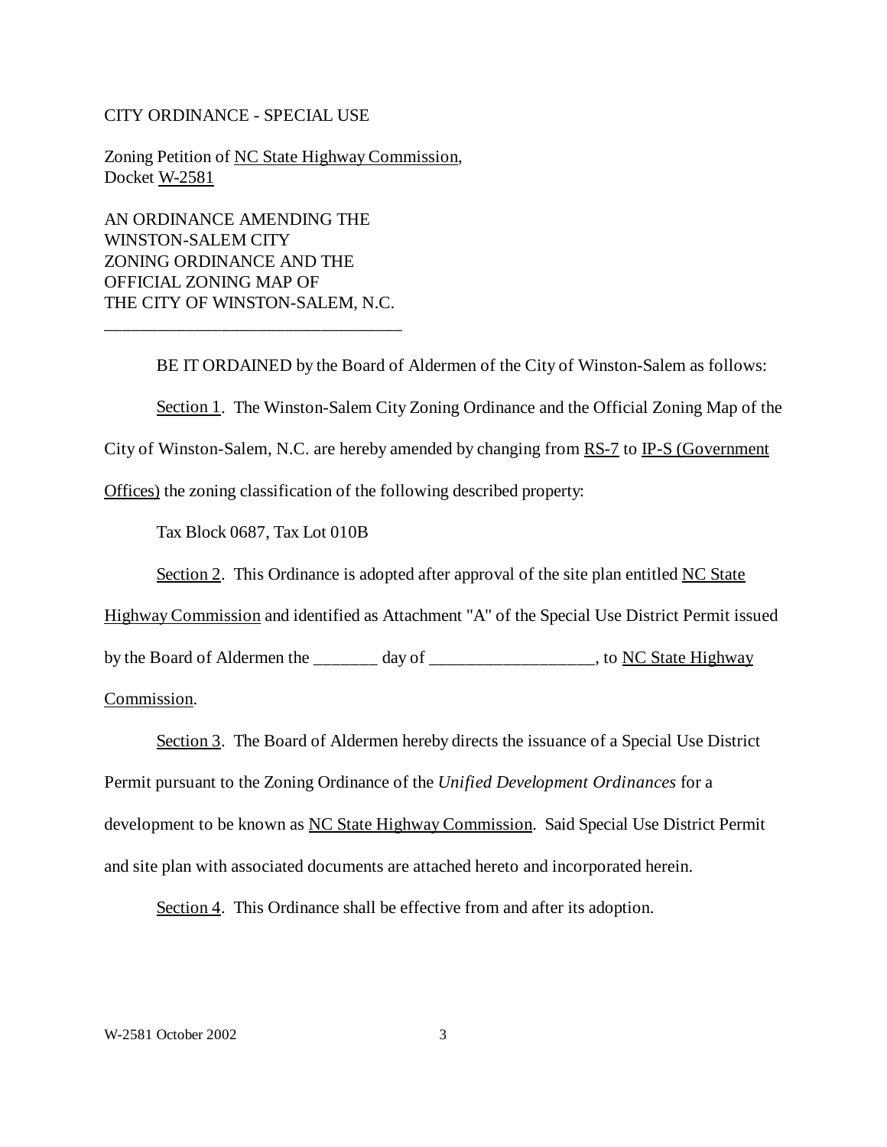#### CITY ORDINANCE - SPECIAL USE

Zoning Petition of NC State Highway Commission, Docket W-2581

AN ORDINANCE AMENDING THE WINSTON-SALEM CITY ZONING ORDINANCE AND THE OFFICIAL ZONING MAP OF THE CITY OF WINSTON-SALEM, N.C.

\_\_\_\_\_\_\_\_\_\_\_\_\_\_\_\_\_\_\_\_\_\_\_\_\_\_\_\_\_\_\_\_\_

BE IT ORDAINED by the Board of Aldermen of the City of Winston-Salem as follows:

Section 1. The Winston-Salem City Zoning Ordinance and the Official Zoning Map of the

City of Winston-Salem, N.C. are hereby amended by changing from RS-7 to IP-S (Government

Offices) the zoning classification of the following described property:

Tax Block 0687, Tax Lot 010B

Section 2. This Ordinance is adopted after approval of the site plan entitled NC State

Highway Commission and identified as Attachment "A" of the Special Use District Permit issued

by the Board of Aldermen the \_\_\_\_\_\_\_ day of \_\_\_\_\_\_\_\_\_\_\_\_\_\_\_\_\_, to NC State Highway

Commission.

Section 3. The Board of Aldermen hereby directs the issuance of a Special Use District

Permit pursuant to the Zoning Ordinance of the *Unified Development Ordinances* for a

development to be known as NC State Highway Commission. Said Special Use District Permit

and site plan with associated documents are attached hereto and incorporated herein.

Section 4. This Ordinance shall be effective from and after its adoption.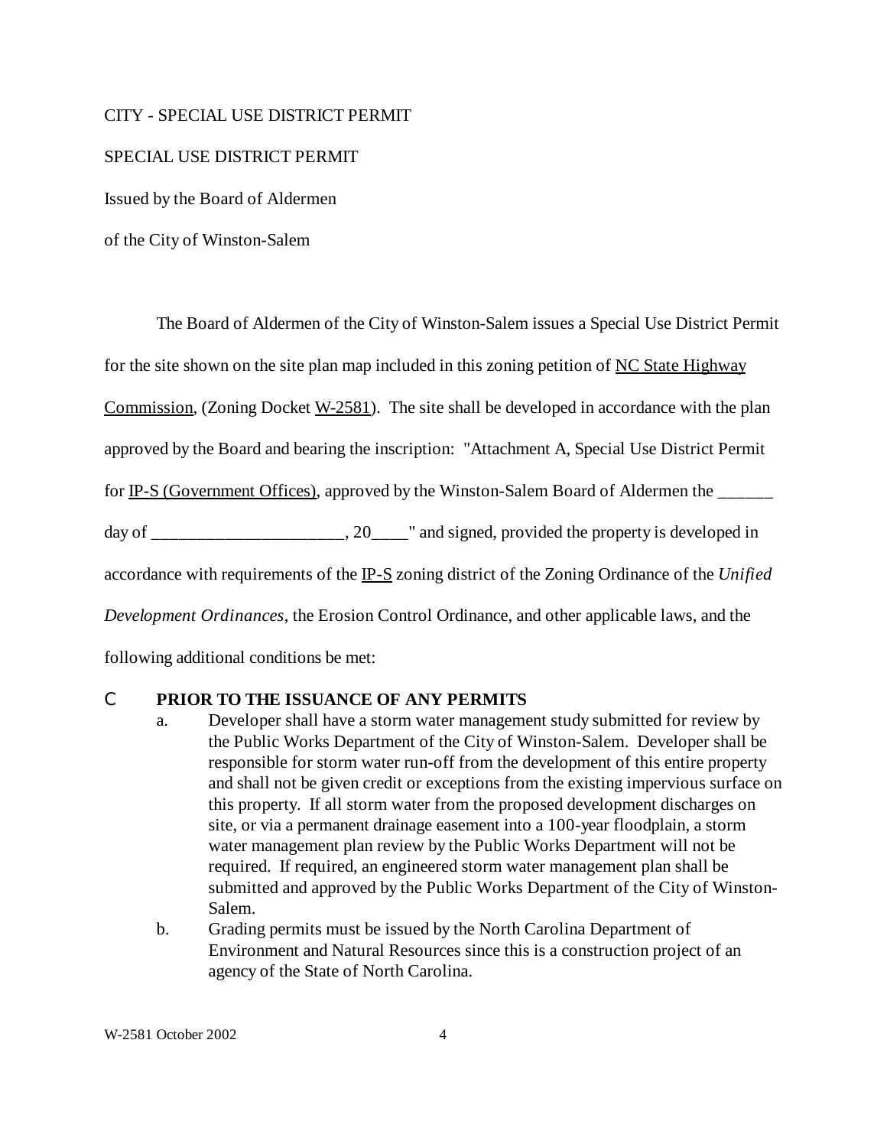#### CITY - SPECIAL USE DISTRICT PERMIT

#### SPECIAL USE DISTRICT PERMIT

Issued by the Board of Aldermen

of the City of Winston-Salem

The Board of Aldermen of the City of Winston-Salem issues a Special Use District Permit for the site shown on the site plan map included in this zoning petition of NC State Highway Commission, (Zoning Docket W-2581). The site shall be developed in accordance with the plan approved by the Board and bearing the inscription: "Attachment A, Special Use District Permit for IP-S (Government Offices), approved by the Winston-Salem Board of Aldermen the \_\_\_\_\_ day of \_\_\_\_\_\_\_\_\_\_\_\_\_\_\_\_\_, 20\_\_\_\_" and signed, provided the property is developed in accordance with requirements of the IP-S zoning district of the Zoning Ordinance of the *Unified Development Ordinances*, the Erosion Control Ordinance, and other applicable laws, and the following additional conditions be met:

### C **PRIOR TO THE ISSUANCE OF ANY PERMITS**

- a. Developer shall have a storm water management study submitted for review by the Public Works Department of the City of Winston-Salem. Developer shall be responsible for storm water run-off from the development of this entire property and shall not be given credit or exceptions from the existing impervious surface on this property. If all storm water from the proposed development discharges on site, or via a permanent drainage easement into a 100-year floodplain, a storm water management plan review by the Public Works Department will not be required. If required, an engineered storm water management plan shall be submitted and approved by the Public Works Department of the City of Winston-Salem.
- b. Grading permits must be issued by the North Carolina Department of Environment and Natural Resources since this is a construction project of an agency of the State of North Carolina.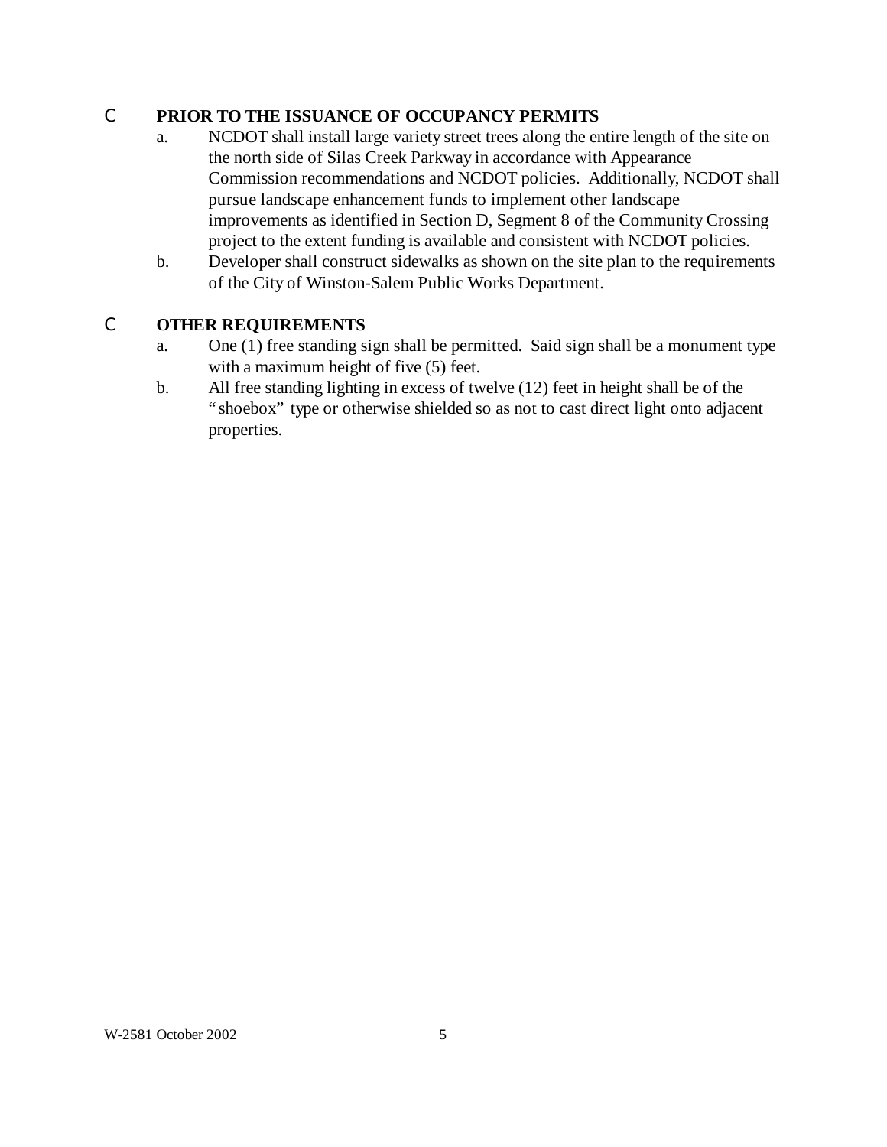## C **PRIOR TO THE ISSUANCE OF OCCUPANCY PERMITS**

- a. NCDOT shall install large variety street trees along the entire length of the site on the north side of Silas Creek Parkway in accordance with Appearance Commission recommendations and NCDOT policies. Additionally, NCDOT shall pursue landscape enhancement funds to implement other landscape improvements as identified in Section D, Segment 8 of the Community Crossing project to the extent funding is available and consistent with NCDOT policies.
- b. Developer shall construct sidewalks as shown on the site plan to the requirements of the City of Winston-Salem Public Works Department.

## C **OTHER REQUIREMENTS**

- a. One (1) free standing sign shall be permitted. Said sign shall be a monument type with a maximum height of five (5) feet.
- b. All free standing lighting in excess of twelve (12) feet in height shall be of the "shoebox" type or otherwise shielded so as not to cast direct light onto adjacent properties.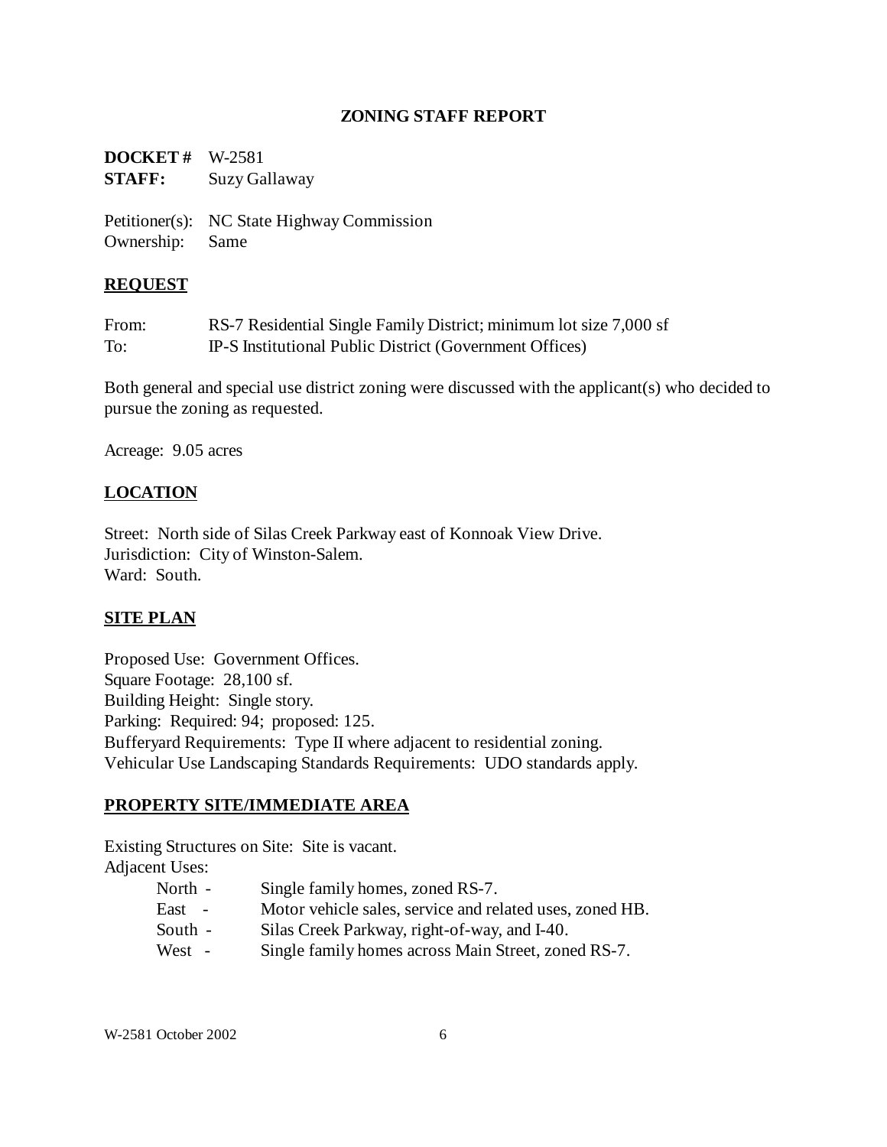### **ZONING STAFF REPORT**

**DOCKET #** W-2581 **STAFF:** Suzy Gallaway

Petitioner(s): NC State Highway Commission Ownership: Same

### **REQUEST**

| From: | RS-7 Residential Single Family District; minimum lot size 7,000 sf |
|-------|--------------------------------------------------------------------|
| To:   | IP-S Institutional Public District (Government Offices)            |

Both general and special use district zoning were discussed with the applicant(s) who decided to pursue the zoning as requested.

Acreage: 9.05 acres

## **LOCATION**

Street: North side of Silas Creek Parkway east of Konnoak View Drive. Jurisdiction: City of Winston-Salem. Ward: South.

## **SITE PLAN**

Proposed Use: Government Offices. Square Footage: 28,100 sf. Building Height: Single story. Parking: Required: 94; proposed: 125. Bufferyard Requirements: Type II where adjacent to residential zoning. Vehicular Use Landscaping Standards Requirements: UDO standards apply.

## **PROPERTY SITE/IMMEDIATE AREA**

Existing Structures on Site: Site is vacant.

Adjacent Uses:

- North Single family homes, zoned RS-7.
- East Motor vehicle sales, service and related uses, zoned HB.
- South Silas Creek Parkway, right-of-way, and I-40.
- West Single family homes across Main Street, zoned RS-7.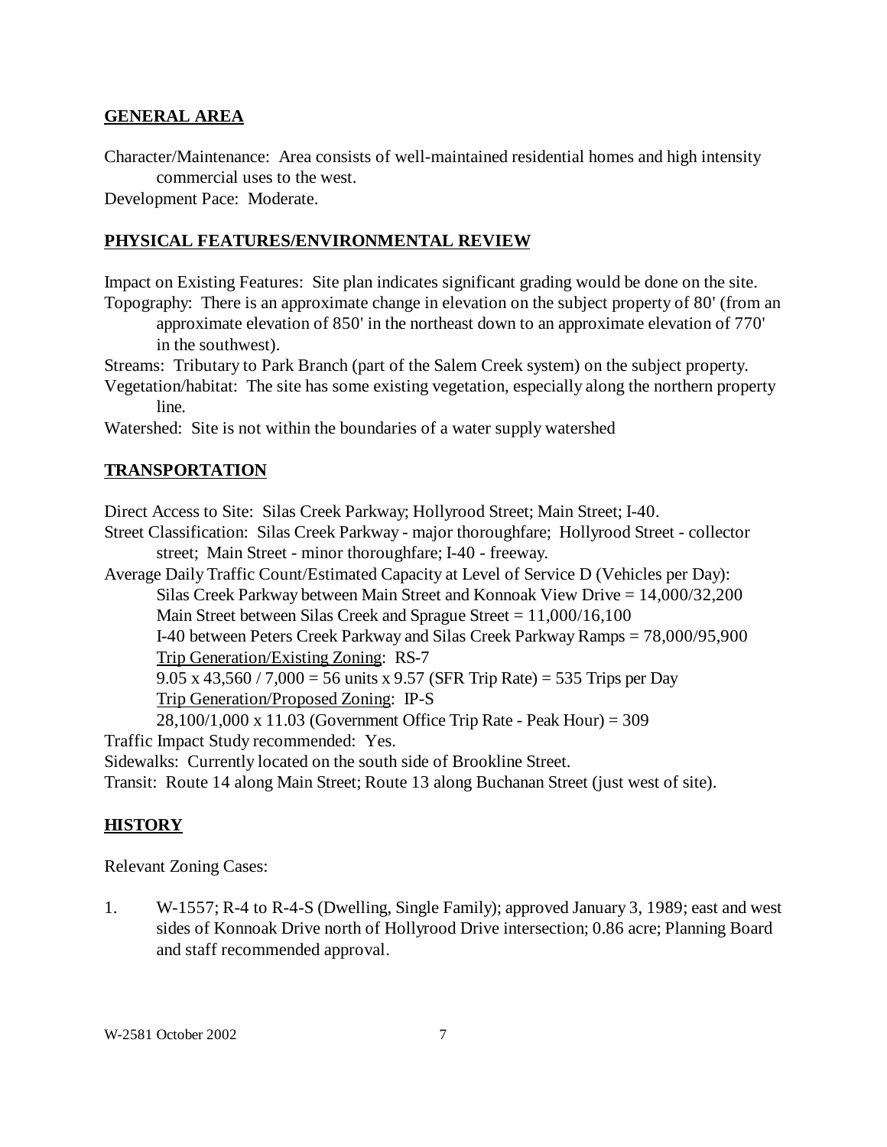#### **GENERAL AREA**

Character/Maintenance: Area consists of well-maintained residential homes and high intensity commercial uses to the west.

Development Pace: Moderate.

### **PHYSICAL FEATURES/ENVIRONMENTAL REVIEW**

Impact on Existing Features: Site plan indicates significant grading would be done on the site. Topography: There is an approximate change in elevation on the subject property of 80' (from an

approximate elevation of 850' in the northeast down to an approximate elevation of 770' in the southwest).

Streams: Tributary to Park Branch (part of the Salem Creek system) on the subject property.

Vegetation/habitat: The site has some existing vegetation, especially along the northern property line.

Watershed: Site is not within the boundaries of a water supply watershed

### **TRANSPORTATION**

Direct Access to Site: Silas Creek Parkway; Hollyrood Street; Main Street; I-40.

Street Classification: Silas Creek Parkway - major thoroughfare; Hollyrood Street - collector street; Main Street - minor thoroughfare; I-40 - freeway.

Average Daily Traffic Count/Estimated Capacity at Level of Service D (Vehicles per Day): Silas Creek Parkway between Main Street and Konnoak View Drive = 14,000/32,200

Main Street between Silas Creek and Sprague Street = 11,000/16,100

I-40 between Peters Creek Parkway and Silas Creek Parkway Ramps = 78,000/95,900 Trip Generation/Existing Zoning: RS-7

9.05 x 43,560 / 7,000 = 56 units x 9.57 (SFR Trip Rate) = 535 Trips per Day Trip Generation/Proposed Zoning: IP-S

28,100/1,000 x 11.03 (Government Office Trip Rate - Peak Hour) = 309 Traffic Impact Study recommended: Yes.

Sidewalks: Currently located on the south side of Brookline Street.

Transit: Route 14 along Main Street; Route 13 along Buchanan Street (just west of site).

### **HISTORY**

Relevant Zoning Cases:

1. W-1557; R-4 to R-4-S (Dwelling, Single Family); approved January 3, 1989; east and west sides of Konnoak Drive north of Hollyrood Drive intersection; 0.86 acre; Planning Board and staff recommended approval.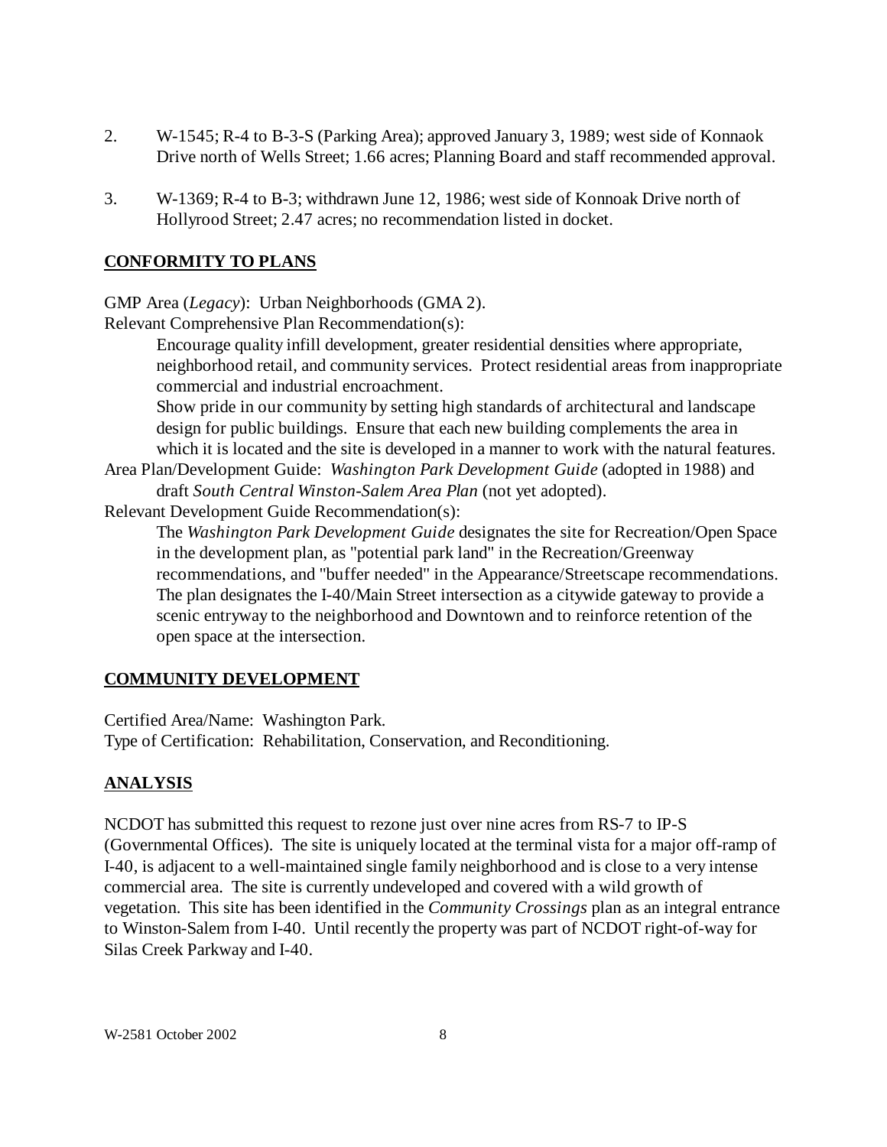- 2. W-1545; R-4 to B-3-S (Parking Area); approved January 3, 1989; west side of Konnaok Drive north of Wells Street; 1.66 acres; Planning Board and staff recommended approval.
- 3. W-1369; R-4 to B-3; withdrawn June 12, 1986; west side of Konnoak Drive north of Hollyrood Street; 2.47 acres; no recommendation listed in docket.

## **CONFORMITY TO PLANS**

GMP Area (*Legacy*): Urban Neighborhoods (GMA 2).

Relevant Comprehensive Plan Recommendation(s):

Encourage quality infill development, greater residential densities where appropriate, neighborhood retail, and community services. Protect residential areas from inappropriate commercial and industrial encroachment.

Show pride in our community by setting high standards of architectural and landscape design for public buildings. Ensure that each new building complements the area in which it is located and the site is developed in a manner to work with the natural features.

Area Plan/Development Guide: *Washington Park Development Guide* (adopted in 1988) and draft *South Central Winston-Salem Area Plan* (not yet adopted).

Relevant Development Guide Recommendation(s):

The *Washington Park Development Guide* designates the site for Recreation/Open Space in the development plan, as "potential park land" in the Recreation/Greenway recommendations, and "buffer needed" in the Appearance/Streetscape recommendations. The plan designates the I-40/Main Street intersection as a citywide gateway to provide a scenic entryway to the neighborhood and Downtown and to reinforce retention of the open space at the intersection.

# **COMMUNITY DEVELOPMENT**

Certified Area/Name: Washington Park.

Type of Certification: Rehabilitation, Conservation, and Reconditioning.

# **ANALYSIS**

NCDOT has submitted this request to rezone just over nine acres from RS-7 to IP-S (Governmental Offices). The site is uniquely located at the terminal vista for a major off-ramp of I-40, is adjacent to a well-maintained single family neighborhood and is close to a very intense commercial area. The site is currently undeveloped and covered with a wild growth of vegetation. This site has been identified in the *Community Crossings* plan as an integral entrance to Winston-Salem from I-40. Until recently the property was part of NCDOT right-of-way for Silas Creek Parkway and I-40.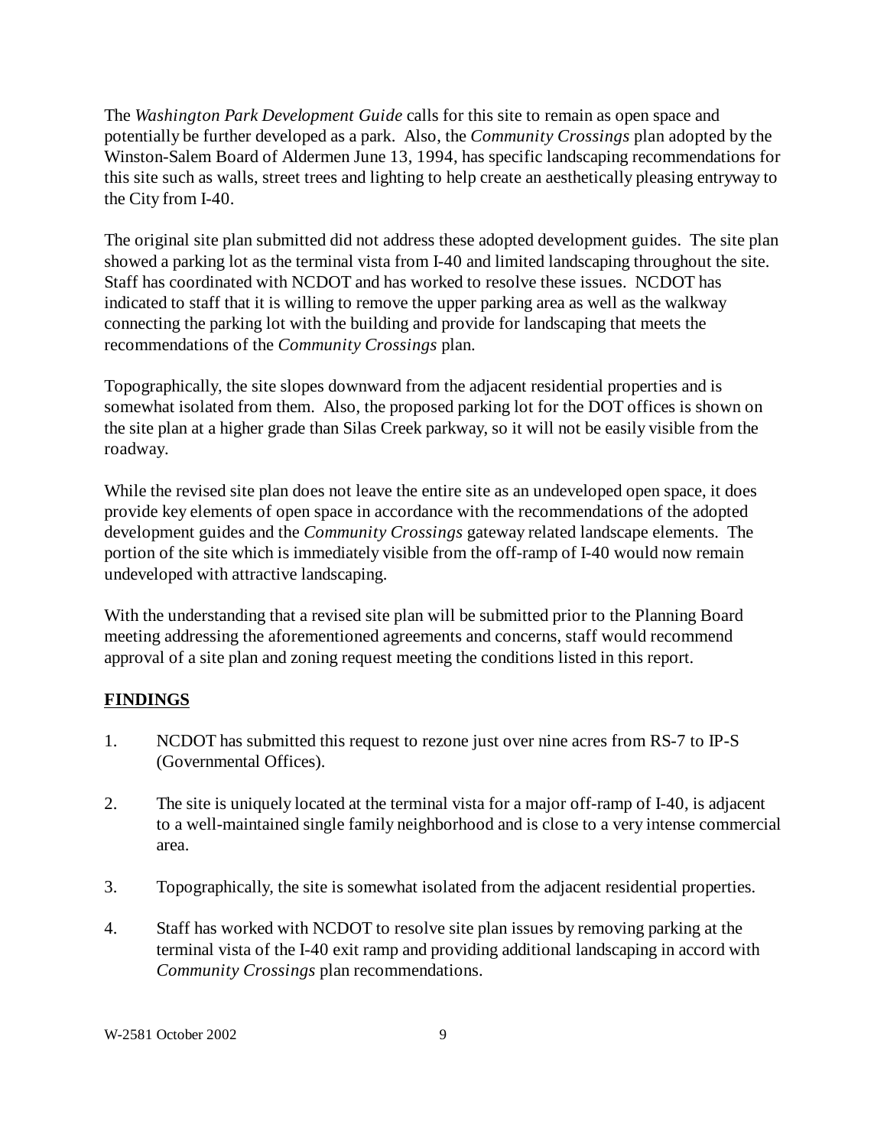The *Washington Park Development Guide* calls for this site to remain as open space and potentially be further developed as a park. Also, the *Community Crossings* plan adopted by the Winston-Salem Board of Aldermen June 13, 1994, has specific landscaping recommendations for this site such as walls, street trees and lighting to help create an aesthetically pleasing entryway to the City from I-40.

The original site plan submitted did not address these adopted development guides. The site plan showed a parking lot as the terminal vista from I-40 and limited landscaping throughout the site. Staff has coordinated with NCDOT and has worked to resolve these issues. NCDOT has indicated to staff that it is willing to remove the upper parking area as well as the walkway connecting the parking lot with the building and provide for landscaping that meets the recommendations of the *Community Crossings* plan.

Topographically, the site slopes downward from the adjacent residential properties and is somewhat isolated from them. Also, the proposed parking lot for the DOT offices is shown on the site plan at a higher grade than Silas Creek parkway, so it will not be easily visible from the roadway.

While the revised site plan does not leave the entire site as an undeveloped open space, it does provide key elements of open space in accordance with the recommendations of the adopted development guides and the *Community Crossings* gateway related landscape elements. The portion of the site which is immediately visible from the off-ramp of I-40 would now remain undeveloped with attractive landscaping.

With the understanding that a revised site plan will be submitted prior to the Planning Board meeting addressing the aforementioned agreements and concerns, staff would recommend approval of a site plan and zoning request meeting the conditions listed in this report.

## **FINDINGS**

- 1. NCDOT has submitted this request to rezone just over nine acres from RS-7 to IP-S (Governmental Offices).
- 2. The site is uniquely located at the terminal vista for a major off-ramp of I-40, is adjacent to a well-maintained single family neighborhood and is close to a very intense commercial area.
- 3. Topographically, the site is somewhat isolated from the adjacent residential properties.
- 4. Staff has worked with NCDOT to resolve site plan issues by removing parking at the terminal vista of the I-40 exit ramp and providing additional landscaping in accord with *Community Crossings* plan recommendations.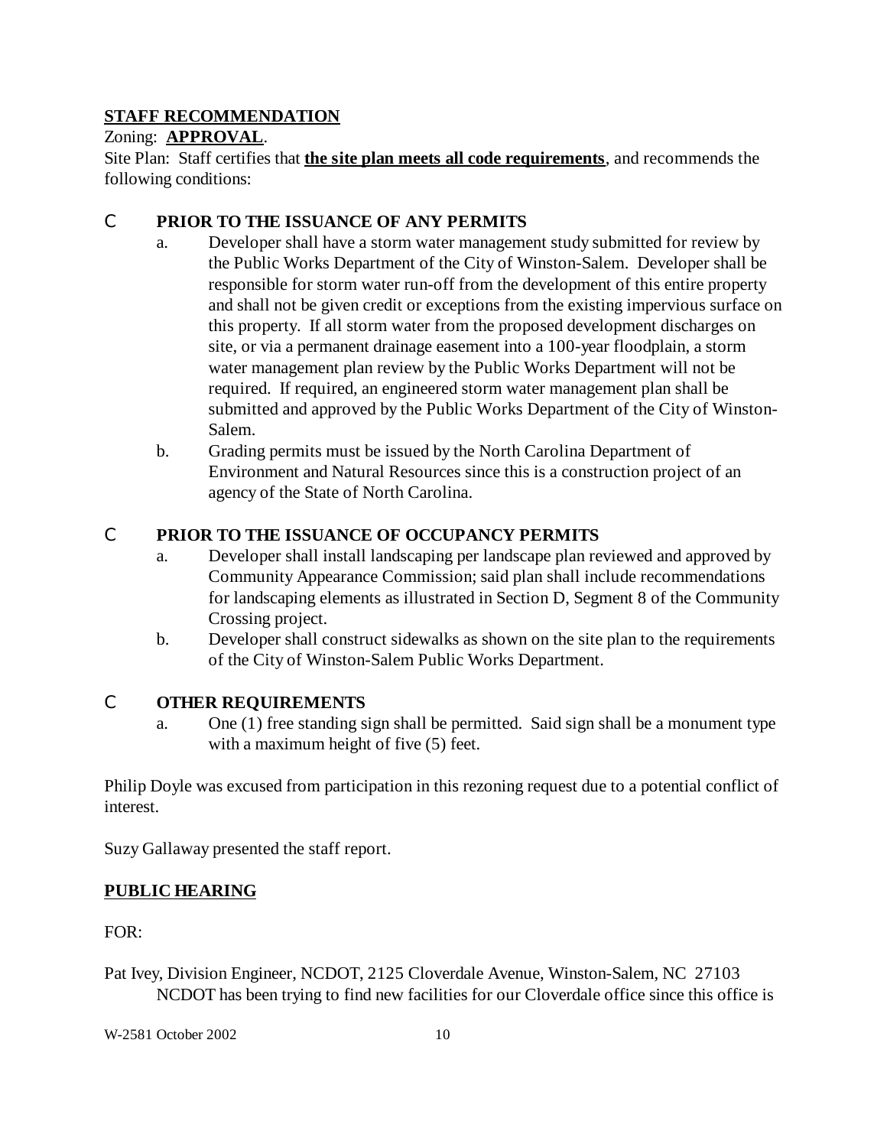## **STAFF RECOMMENDATION**

## Zoning: **APPROVAL**.

Site Plan: Staff certifies that **the site plan meets all code requirements**, and recommends the following conditions:

## C **PRIOR TO THE ISSUANCE OF ANY PERMITS**

- a. Developer shall have a storm water management study submitted for review by the Public Works Department of the City of Winston-Salem. Developer shall be responsible for storm water run-off from the development of this entire property and shall not be given credit or exceptions from the existing impervious surface on this property. If all storm water from the proposed development discharges on site, or via a permanent drainage easement into a 100-year floodplain, a storm water management plan review by the Public Works Department will not be required. If required, an engineered storm water management plan shall be submitted and approved by the Public Works Department of the City of Winston-Salem.
- b. Grading permits must be issued by the North Carolina Department of Environment and Natural Resources since this is a construction project of an agency of the State of North Carolina.

## C **PRIOR TO THE ISSUANCE OF OCCUPANCY PERMITS**

- a. Developer shall install landscaping per landscape plan reviewed and approved by Community Appearance Commission; said plan shall include recommendations for landscaping elements as illustrated in Section D, Segment 8 of the Community Crossing project.
- b. Developer shall construct sidewalks as shown on the site plan to the requirements of the City of Winston-Salem Public Works Department.

### C **OTHER REQUIREMENTS**

a. One (1) free standing sign shall be permitted. Said sign shall be a monument type with a maximum height of five (5) feet.

Philip Doyle was excused from participation in this rezoning request due to a potential conflict of interest.

Suzy Gallaway presented the staff report.

## **PUBLIC HEARING**

FOR:

Pat Ivey, Division Engineer, NCDOT, 2125 Cloverdale Avenue, Winston-Salem, NC 27103 NCDOT has been trying to find new facilities for our Cloverdale office since this office is

W-2581 October 2002 10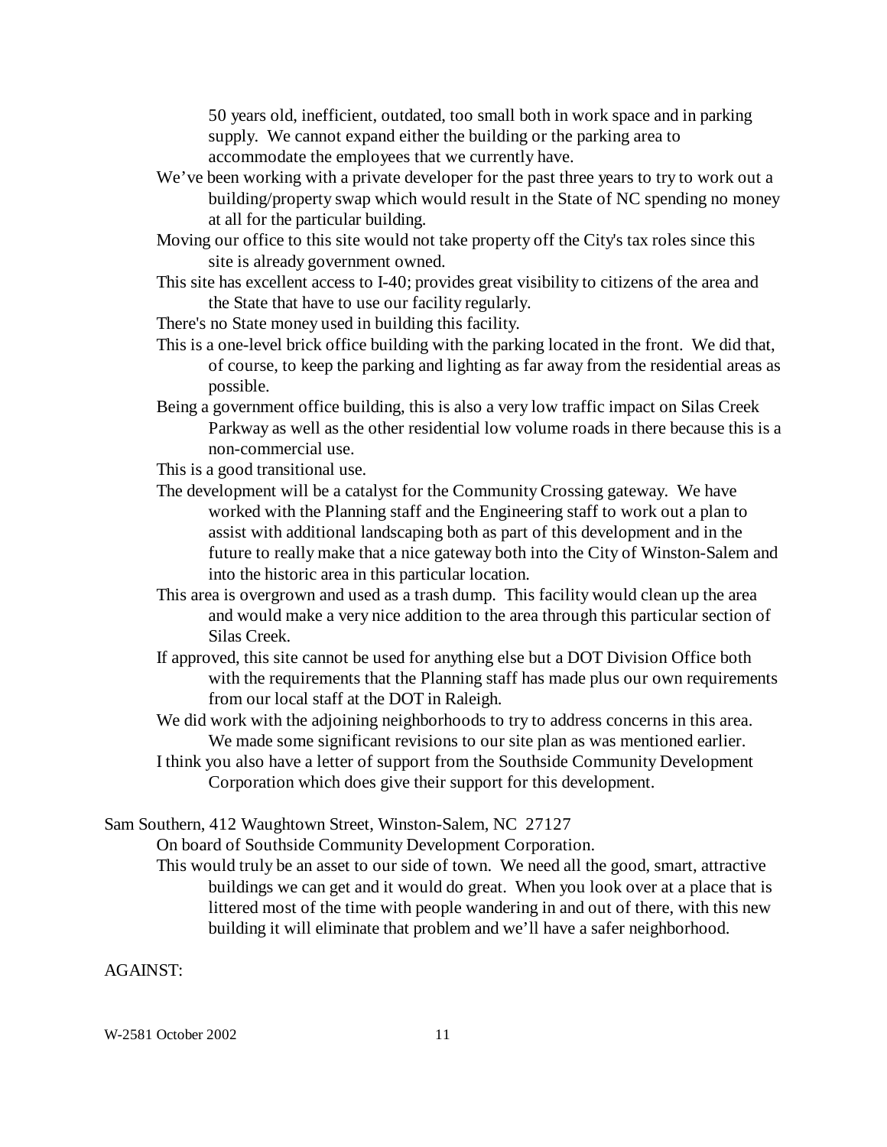50 years old, inefficient, outdated, too small both in work space and in parking supply. We cannot expand either the building or the parking area to accommodate the employees that we currently have.

- We've been working with a private developer for the past three years to try to work out a building/property swap which would result in the State of NC spending no money at all for the particular building.
- Moving our office to this site would not take property off the City's tax roles since this site is already government owned.
- This site has excellent access to I-40; provides great visibility to citizens of the area and the State that have to use our facility regularly.

There's no State money used in building this facility.

- This is a one-level brick office building with the parking located in the front. We did that, of course, to keep the parking and lighting as far away from the residential areas as possible.
- Being a government office building, this is also a very low traffic impact on Silas Creek Parkway as well as the other residential low volume roads in there because this is a non-commercial use.

This is a good transitional use.

- The development will be a catalyst for the Community Crossing gateway. We have worked with the Planning staff and the Engineering staff to work out a plan to assist with additional landscaping both as part of this development and in the future to really make that a nice gateway both into the City of Winston-Salem and into the historic area in this particular location.
- This area is overgrown and used as a trash dump. This facility would clean up the area and would make a very nice addition to the area through this particular section of Silas Creek.
- If approved, this site cannot be used for anything else but a DOT Division Office both with the requirements that the Planning staff has made plus our own requirements from our local staff at the DOT in Raleigh.
- We did work with the adjoining neighborhoods to try to address concerns in this area. We made some significant revisions to our site plan as was mentioned earlier.
- I think you also have a letter of support from the Southside Community Development Corporation which does give their support for this development.

Sam Southern, 412 Waughtown Street, Winston-Salem, NC 27127

On board of Southside Community Development Corporation.

This would truly be an asset to our side of town. We need all the good, smart, attractive buildings we can get and it would do great. When you look over at a place that is littered most of the time with people wandering in and out of there, with this new building it will eliminate that problem and we'll have a safer neighborhood.

#### AGAINST:

W-2581 October 2002 11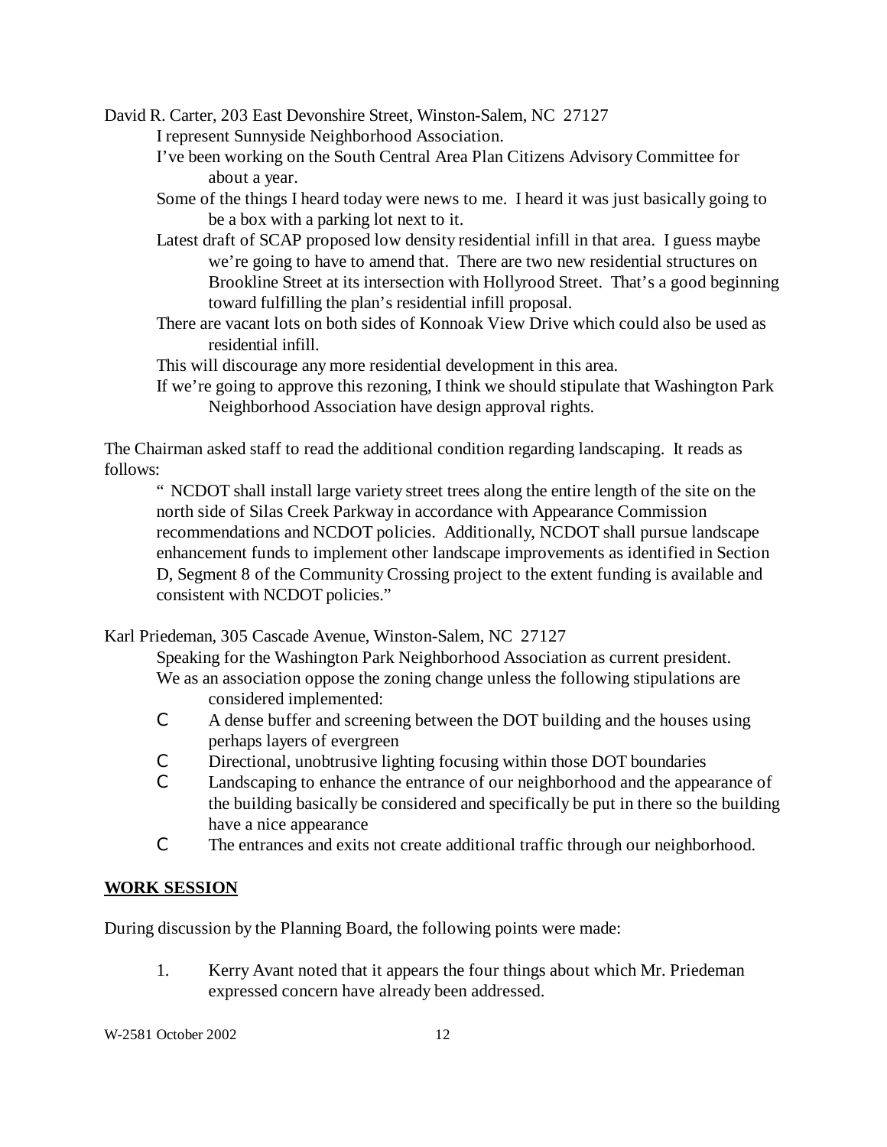David R. Carter, 203 East Devonshire Street, Winston-Salem, NC 27127

I represent Sunnyside Neighborhood Association.

- I've been working on the South Central Area Plan Citizens Advisory Committee for about a year.
- Some of the things I heard today were news to me. I heard it was just basically going to be a box with a parking lot next to it.
- Latest draft of SCAP proposed low density residential infill in that area. I guess maybe we're going to have to amend that. There are two new residential structures on Brookline Street at its intersection with Hollyrood Street. That's a good beginning toward fulfilling the plan's residential infill proposal.
- There are vacant lots on both sides of Konnoak View Drive which could also be used as residential infill.
- This will discourage any more residential development in this area.
- If we're going to approve this rezoning, I think we should stipulate that Washington Park Neighborhood Association have design approval rights.

The Chairman asked staff to read the additional condition regarding landscaping. It reads as follows:

" NCDOT shall install large variety street trees along the entire length of the site on the north side of Silas Creek Parkway in accordance with Appearance Commission recommendations and NCDOT policies. Additionally, NCDOT shall pursue landscape enhancement funds to implement other landscape improvements as identified in Section D, Segment 8 of the Community Crossing project to the extent funding is available and consistent with NCDOT policies."

Karl Priedeman, 305 Cascade Avenue, Winston-Salem, NC 27127

Speaking for the Washington Park Neighborhood Association as current president. We as an association oppose the zoning change unless the following stipulations are considered implemented:

- C A dense buffer and screening between the DOT building and the houses using perhaps layers of evergreen
- C Directional, unobtrusive lighting focusing within those DOT boundaries
- C Landscaping to enhance the entrance of our neighborhood and the appearance of the building basically be considered and specifically be put in there so the building have a nice appearance
- C The entrances and exits not create additional traffic through our neighborhood.

# **WORK SESSION**

During discussion by the Planning Board, the following points were made:

1. Kerry Avant noted that it appears the four things about which Mr. Priedeman expressed concern have already been addressed.

W-2581 October 2002 12